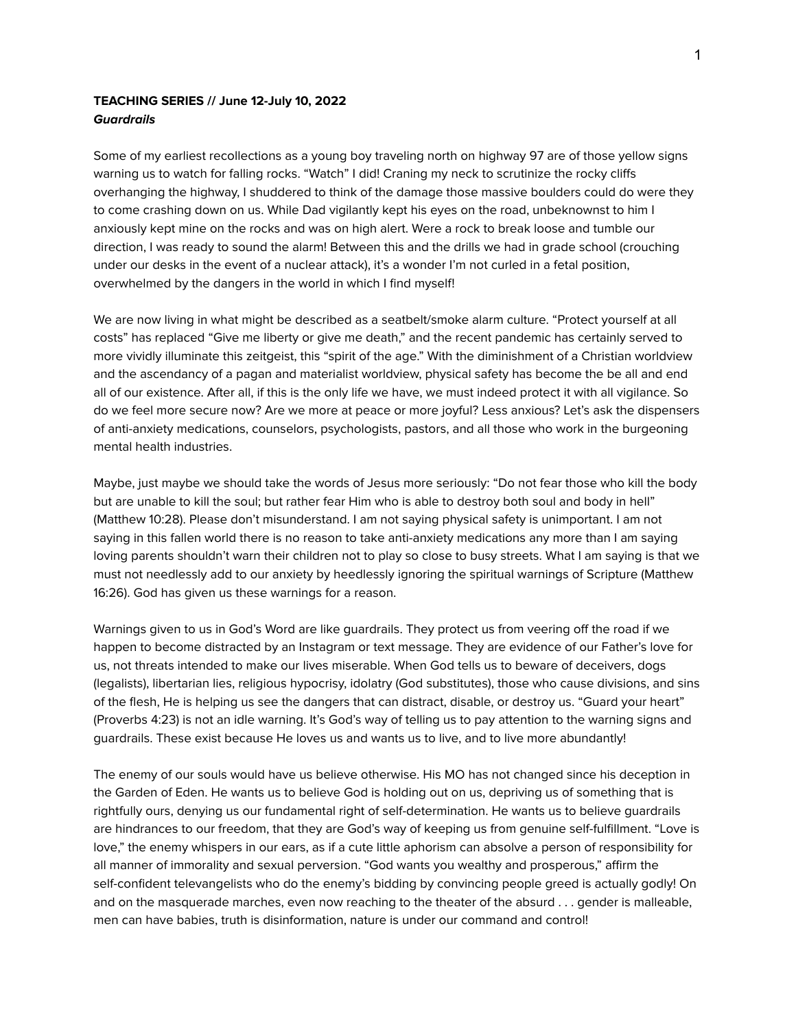# **TEACHING SERIES // June 12-July 10, 2022 Guardrails**

Some of my earliest recollections as a young boy traveling north on highway 97 are of those yellow signs warning us to watch for falling rocks. "Watch" I did! Craning my neck to scrutinize the rocky cliffs overhanging the highway, I shuddered to think of the damage those massive boulders could do were they to come crashing down on us. While Dad vigilantly kept his eyes on the road, unbeknownst to him I anxiously kept mine on the rocks and was on high alert. Were a rock to break loose and tumble our direction, I was ready to sound the alarm! Between this and the drills we had in grade school (crouching under our desks in the event of a nuclear attack), it's a wonder I'm not curled in a fetal position, overwhelmed by the dangers in the world in which I find myself!

We are now living in what might be described as a seatbelt/smoke alarm culture. "Protect yourself at all costs" has replaced "Give me liberty or give me death," and the recent pandemic has certainly served to more vividly illuminate this zeitgeist, this "spirit of the age." With the diminishment of a Christian worldview and the ascendancy of a pagan and materialist worldview, physical safety has become the be all and end all of our existence. After all, if this is the only life we have, we must indeed protect it with all vigilance. So do we feel more secure now? Are we more at peace or more joyful? Less anxious? Let's ask the dispensers of anti-anxiety medications, counselors, psychologists, pastors, and all those who work in the burgeoning mental health industries.

Maybe, just maybe we should take the words of Jesus more seriously: "Do not fear those who kill the body but are unable to kill the soul; but rather fear Him who is able to destroy both soul and body in hell" (Matthew 10:28). Please don't misunderstand. I am not saying physical safety is unimportant. I am not saying in this fallen world there is no reason to take anti-anxiety medications any more than I am saying loving parents shouldn't warn their children not to play so close to busy streets. What I am saying is that we must not needlessly add to our anxiety by heedlessly ignoring the spiritual warnings of Scripture (Matthew 16:26). God has given us these warnings for a reason.

Warnings given to us in God's Word are like guardrails. They protect us from veering off the road if we happen to become distracted by an Instagram or text message. They are evidence of our Father's love for us, not threats intended to make our lives miserable. When God tells us to beware of deceivers, dogs (legalists), libertarian lies, religious hypocrisy, idolatry (God substitutes), those who cause divisions, and sins of the flesh, He is helping us see the dangers that can distract, disable, or destroy us. "Guard your heart" (Proverbs 4:23) is not an idle warning. It's God's way of telling us to pay attention to the warning signs and guardrails. These exist because He loves us and wants us to live, and to live more abundantly!

The enemy of our souls would have us believe otherwise. His MO has not changed since his deception in the Garden of Eden. He wants us to believe God is holding out on us, depriving us of something that is rightfully ours, denying us our fundamental right of self-determination. He wants us to believe guardrails are hindrances to our freedom, that they are God's way of keeping us from genuine self-fulfillment. "Love is love," the enemy whispers in our ears, as if a cute little aphorism can absolve a person of responsibility for all manner of immorality and sexual perversion. "God wants you wealthy and prosperous," affirm the self-confident televangelists who do the enemy's bidding by convincing people greed is actually godly! On and on the masquerade marches, even now reaching to the theater of the absurd . . . gender is malleable, men can have babies, truth is disinformation, nature is under our command and control!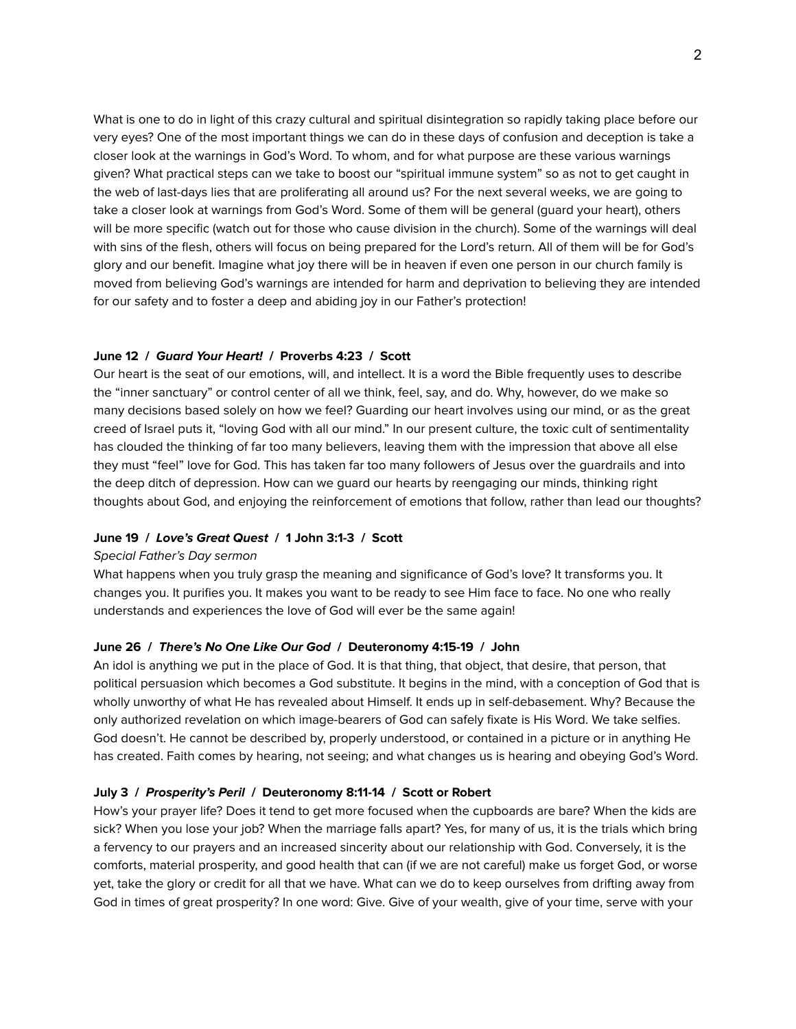What is one to do in light of this crazy cultural and spiritual disintegration so rapidly taking place before our very eyes? One of the most important things we can do in these days of confusion and deception is take a closer look at the warnings in God's Word. To whom, and for what purpose are these various warnings given? What practical steps can we take to boost our "spiritual immune system" so as not to get caught in the web of last-days lies that are proliferating all around us? For the next several weeks, we are going to take a closer look at warnings from God's Word. Some of them will be general (guard your heart), others will be more specific (watch out for those who cause division in the church). Some of the warnings will deal with sins of the flesh, others will focus on being prepared for the Lord's return. All of them will be for God's glory and our benefit. Imagine what joy there will be in heaven if even one person in our church family is moved from believing God's warnings are intended for harm and deprivation to believing they are intended for our safety and to foster a deep and abiding joy in our Father's protection!

## **June 12 / Guard Your Heart! / Proverbs 4:23 / Scott**

Our heart is the seat of our emotions, will, and intellect. It is a word the Bible frequently uses to describe the "inner sanctuary" or control center of all we think, feel, say, and do. Why, however, do we make so many decisions based solely on how we feel? Guarding our heart involves using our mind, or as the great creed of Israel puts it, "loving God with all our mind." In our present culture, the toxic cult of sentimentality has clouded the thinking of far too many believers, leaving them with the impression that above all else they must "feel" love for God. This has taken far too many followers of Jesus over the guardrails and into the deep ditch of depression. How can we guard our hearts by reengaging our minds, thinking right thoughts about God, and enjoying the reinforcement of emotions that follow, rather than lead our thoughts?

## **June 19 / Love's Great Quest / 1 John 3:1-3 / Scott**

## Special Father's Day sermon

What happens when you truly grasp the meaning and significance of God's love? It transforms you. It changes you. It purifies you. It makes you want to be ready to see Him face to face. No one who really understands and experiences the love of God will ever be the same again!

#### **June 26 / There's No One Like Our God / Deuteronomy 4:15-19 / John**

An idol is anything we put in the place of God. It is that thing, that object, that desire, that person, that political persuasion which becomes a God substitute. It begins in the mind, with a conception of God that is wholly unworthy of what He has revealed about Himself. It ends up in self-debasement. Why? Because the only authorized revelation on which image-bearers of God can safely fixate is His Word. We take selfies. God doesn't. He cannot be described by, properly understood, or contained in a picture or in anything He has created. Faith comes by hearing, not seeing; and what changes us is hearing and obeying God's Word.

#### **July 3 / Prosperity's Peril / Deuteronomy 8:11-14 / Scott or Robert**

How's your prayer life? Does it tend to get more focused when the cupboards are bare? When the kids are sick? When you lose your job? When the marriage falls apart? Yes, for many of us, it is the trials which bring a fervency to our prayers and an increased sincerity about our relationship with God. Conversely, it is the comforts, material prosperity, and good health that can (if we are not careful) make us forget God, or worse yet, take the glory or credit for all that we have. What can we do to keep ourselves from drifting away from God in times of great prosperity? In one word: Give. Give of your wealth, give of your time, serve with your